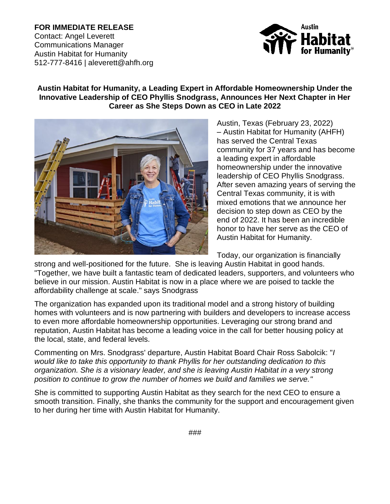**FOR IMMEDIATE RELEASE** Contact: Angel Leverett Communications Manager Austin Habitat for Humanity 512-777-8416 | aleverett@ahfh.org



## **Austin Habitat for Humanity, a Leading Expert in Affordable Homeownership Under the Innovative Leadership of CEO Phyllis Snodgrass, Announces Her Next Chapter in Her Career as She Steps Down as CEO in Late 2022**



Austin, Texas (February 23, 2022) – Austin Habitat for Humanity (AHFH) has served the Central Texas community for 37 years and has become a leading expert in affordable homeownership under the innovative leadership of CEO Phyllis Snodgrass. After seven amazing years of serving the Central Texas community, it is with mixed emotions that we announce her decision to step down as CEO by the end of 2022. It has been an incredible honor to have her serve as the CEO of Austin Habitat for Humanity.

Today, our organization is financially

strong and well-positioned for the future. She is leaving Austin Habitat in good hands. "Together, we have built a fantastic team of dedicated leaders, supporters, and volunteers who believe in our mission. Austin Habitat is now in a place where we are poised to tackle the affordability challenge at scale." says Snodgrass

The organization has expanded upon its traditional model and a strong history of building homes with volunteers and is now partnering with builders and developers to increase access to even more affordable homeownership opportunities. Leveraging our strong brand and reputation, Austin Habitat has become a leading voice in the call for better housing policy at the local, state, and federal levels.

Commenting on Mrs. Snodgrass' departure, Austin Habitat Board Chair Ross Sabolcik: "*I would like to take this opportunity to thank Phyllis for her outstanding dedication to this organization. She is a visionary leader, and she is leaving Austin Habitat in a very strong position to continue to grow the number of homes we build and families we serve."*

She is committed to supporting Austin Habitat as they search for the next CEO to ensure a smooth transition. Finally, she thanks the community for the support and encouragement given to her during her time with Austin Habitat for Humanity.